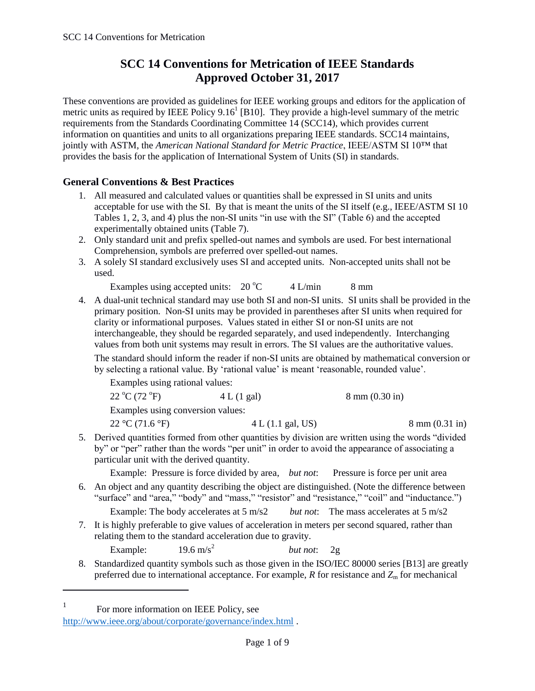# **SCC 14 Conventions for Metrication of IEEE Standards Approved October 31, 2017**

These conventions are provided as guidelines for IEEE working groups and editors for the application of metric units as required by IEEE Policy  $9.16<sup>1</sup>$  [B10]. They provide a high-level summary of the metric requirements from the Standards Coordinating Committee 14 (SCC14), which provides current information on quantities and units to all organizations preparing IEEE standards. SCC14 maintains, jointly with ASTM, the *American National Standard for Metric Practice*, IEEE/ASTM SI 10™ that provides the basis for the application of International System of Units (SI) in standards.

# **General Conventions & Best Practices**

- 1. All measured and calculated values or quantities shall be expressed in SI units and units acceptable for use with the SI. By that is meant the units of the SI itself (e.g., IEEE/ASTM SI 10 Tables 1, 2, 3, and 4) plus the non-SI units "in use with the SI" (Table 6) and the accepted experimentally obtained units (Table 7).
- 2. Only standard unit and prefix spelled-out names and symbols are used. For best international Comprehension, symbols are preferred over spelled-out names.
- 3. A solely SI standard exclusively uses SI and accepted units. Non-accepted units shall not be used.

Examples using accepted units:  $20^{\circ}$ C 4 L/min 8 mm

4. A dual-unit technical standard may use both SI and non-SI units. SI units shall be provided in the primary position. Non-SI units may be provided in parentheses after SI units when required for clarity or informational purposes. Values stated in either SI or non-SI units are not interchangeable, they should be regarded separately, and used independently. Interchanging values from both unit systems may result in errors. The SI values are the authoritative values.

The standard should inform the reader if non-SI units are obtained by mathematical conversion or by selecting a rational value. By 'rational value' is meant 'reasonable, rounded value'.

| Examples using rational values:   |                   |                          |                                   |
|-----------------------------------|-------------------|--------------------------|-----------------------------------|
| 22 °C (72 °F)                     | 4 L (1 gal)       | $8 \text{ mm}$ (0.30 in) |                                   |
| Examples using conversion values: |                   |                          |                                   |
| $22 \text{ °C} (71.6 \text{ °F})$ | 4 L (1.1 gal, US) |                          | $8 \text{ mm } (0.31 \text{ in})$ |

5. Derived quantities formed from other quantities by division are written using the words "divided by" or "per" rather than the words "per unit" in order to avoid the appearance of associating a particular unit with the derived quantity.

Example: Pressure is force divided by area, *but not*: Pressure is force per unit area

- 6. An object and any quantity describing the object are distinguished. (Note the difference between "surface" and "area," "body" and "mass," "resistor" and "resistance," "coil" and "inductance.") Example: The body accelerates at 5 m/s2 *but not*: The mass accelerates at 5 m/s2
- 7. It is highly preferable to give values of acceleration in meters per second squared, rather than relating them to the standard acceleration due to gravity.

Example:  $19.6 \text{ m/s}^2$ *but not*: 2g

8. Standardized quantity symbols such as those given in the ISO/IEC 80000 series [B13] are greatly preferred due to international acceptance. For example,  $R$  for resistance and  $Z<sub>m</sub>$  for mechanical

1 For more information on IEEE Policy, see

 $\overline{a}$ 

<http://www.ieee.org/about/corporate/governance/index.html> .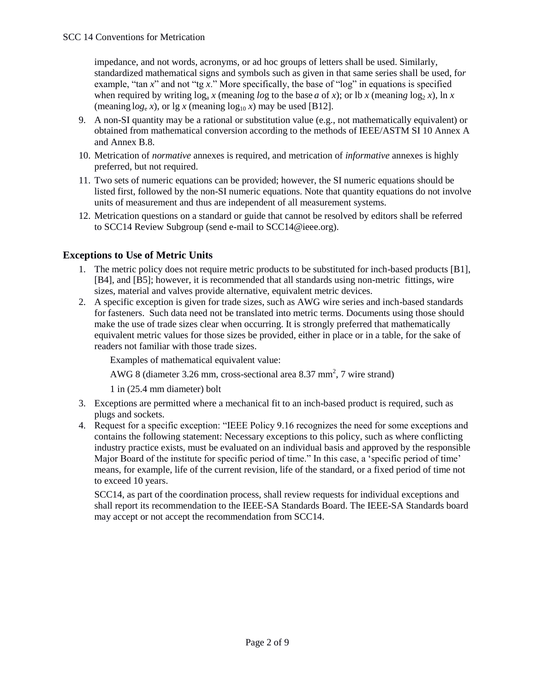impedance, and not words, acronyms, or ad hoc groups of letters shall be used. Similarly, standardized mathematical signs and symbols such as given in that same series shall be used, fo*r* example, "tan *x*" and not "tg *x*." More specifically, the base of "log" in equations is specified when required by writing  $\log_a x$  (meaning *log* to the base *a* of *x*); or lb *x* (meaning  $\log_2 x$ ),  $\ln x$ (meaning  $log_e x$ ), or  $lg x$  (meaning  $log_{10} x$ ) may be used [B12].

- 9. A non-SI quantity may be a rational or substitution value (e.g., not mathematically equivalent) or obtained from mathematical conversion according to the methods of IEEE/ASTM SI 10 Annex A and Annex B.8.
- 10. Metrication of *normative* annexes is required, and metrication of *informative* annexes is highly preferred, but not required.
- 11. Two sets of numeric equations can be provided; however, the SI numeric equations should be listed first, followed by the non-SI numeric equations. Note that quantity equations do not involve units of measurement and thus are independent of all measurement systems.
- 12. Metrication questions on a standard or guide that cannot be resolved by editors shall be referred to SCC14 Review Subgroup (send e-mail to SCC14@ieee.org).

# **Exceptions to Use of Metric Units**

- 1. The metric policy does not require metric products to be substituted for inch-based products [B1], [B4], and [B5]; however, it is recommended that all standards using non-metric fittings, wire sizes, material and valves provide alternative, equivalent metric devices.
- 2. A specific exception is given for trade sizes, such as AWG wire series and inch-based standards for fasteners. Such data need not be translated into metric terms. Documents using those should make the use of trade sizes clear when occurring. It is strongly preferred that mathematically equivalent metric values for those sizes be provided, either in place or in a table, for the sake of readers not familiar with those trade sizes.

Examples of mathematical equivalent value:

AWG 8 (diameter 3.26 mm, cross-sectional area 8.37 mm<sup>2</sup>, 7 wire strand)

1 in (25.4 mm diameter) bolt

- 3. Exceptions are permitted where a mechanical fit to an inch-based product is required, such as plugs and sockets.
- 4. Request for a specific exception: "IEEE Policy 9.16 recognizes the need for some exceptions and contains the following statement: Necessary exceptions to this policy, such as where conflicting industry practice exists, must be evaluated on an individual basis and approved by the responsible Major Board of the institute for specific period of time." In this case, a 'specific period of time' means, for example, life of the current revision, life of the standard, or a fixed period of time not to exceed 10 years.

SCC14, as part of the coordination process, shall review requests for individual exceptions and shall report its recommendation to the IEEE-SA Standards Board. The IEEE-SA Standards board may accept or not accept the recommendation from SCC14.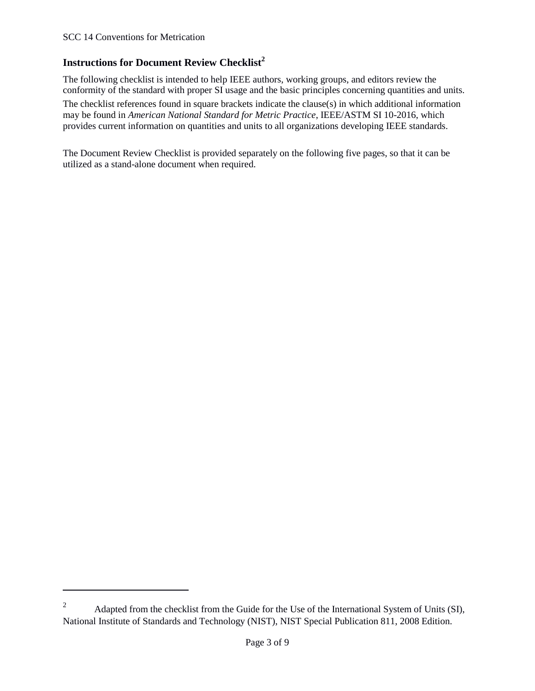$\overline{a}$ 

# **Instructions for Document Review Checklist<sup>2</sup>**

The following checklist is intended to help IEEE authors, working groups, and editors review the conformity of the standard with proper SI usage and the basic principles concerning quantities and units.

The checklist references found in square brackets indicate the clause(s) in which additional information may be found in *American National Standard for Metric Practice*, IEEE/ASTM SI 10-2016, which provides current information on quantities and units to all organizations developing IEEE standards.

The Document Review Checklist is provided separately on the following five pages, so that it can be utilized as a stand-alone document when required.

<sup>&</sup>lt;sup>2</sup> Adapted from the checklist from the Guide for the Use of the International System of Units (SI), National Institute of Standards and Technology (NIST), NIST Special Publication 811, 2008 Edition.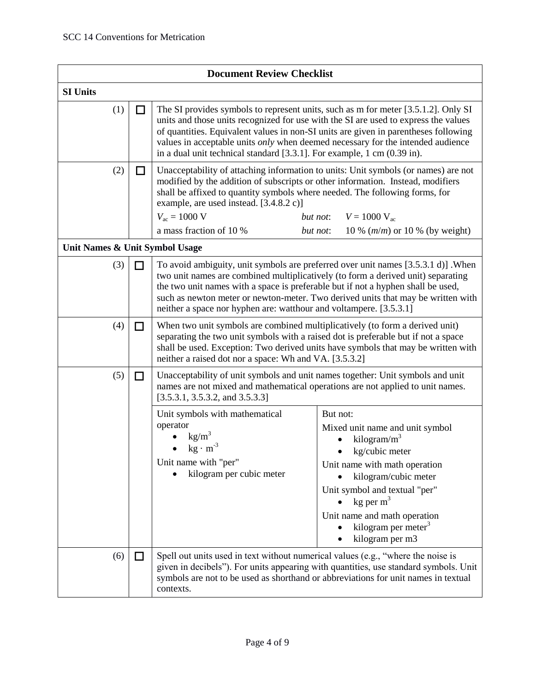| <b>Document Review Checklist</b> |                                |                                                                                                                                                                                                                                                                                                                                                                                                                                |                                                                                                                                                                                                                                                                                    |
|----------------------------------|--------------------------------|--------------------------------------------------------------------------------------------------------------------------------------------------------------------------------------------------------------------------------------------------------------------------------------------------------------------------------------------------------------------------------------------------------------------------------|------------------------------------------------------------------------------------------------------------------------------------------------------------------------------------------------------------------------------------------------------------------------------------|
| <b>SI Units</b>                  |                                |                                                                                                                                                                                                                                                                                                                                                                                                                                |                                                                                                                                                                                                                                                                                    |
| (1)                              |                                | The SI provides symbols to represent units, such as m for meter [3.5.1.2]. Only SI<br>units and those units recognized for use with the SI are used to express the values<br>of quantities. Equivalent values in non-SI units are given in parentheses following<br>values in acceptable units only when deemed necessary for the intended audience<br>in a dual unit technical standard [3.3.1]. For example, 1 cm (0.39 in). |                                                                                                                                                                                                                                                                                    |
| (2)                              | l I                            | Unacceptability of attaching information to units: Unit symbols (or names) are not<br>modified by the addition of subscripts or other information. Instead, modifiers<br>shall be affixed to quantity symbols where needed. The following forms, for<br>example, are used instead. [3.4.8.2 c)]<br>$V_{\text{ac}} = 1000 \text{ V}$<br>a mass fraction of 10 %                                                                 | $V = 1000 V_{ac}$<br>but not:<br>but not:<br>10 % ( $m/m$ ) or 10 % (by weight)                                                                                                                                                                                                    |
|                                  | Unit Names & Unit Symbol Usage |                                                                                                                                                                                                                                                                                                                                                                                                                                |                                                                                                                                                                                                                                                                                    |
| (3)                              | П                              | two unit names are combined multiplicatively (to form a derived unit) separating<br>the two unit names with a space is preferable but if not a hyphen shall be used,<br>neither a space nor hyphen are: watthour and voltampere. [3.5.3.1]                                                                                                                                                                                     | To avoid ambiguity, unit symbols are preferred over unit names [3.5.3.1 d)]. When<br>such as newton meter or newton-meter. Two derived units that may be written with                                                                                                              |
| (4)                              | ΙI                             | When two unit symbols are combined multiplicatively (to form a derived unit)<br>separating the two unit symbols with a raised dot is preferable but if not a space<br>neither a raised dot nor a space: Wh and VA. [3.5.3.2]                                                                                                                                                                                                   | shall be used. Exception: Two derived units have symbols that may be written with                                                                                                                                                                                                  |
| (5)                              | □                              | Unacceptability of unit symbols and unit names together: Unit symbols and unit<br>names are not mixed and mathematical operations are not applied to unit names.<br>[3.5.3.1, 3.5.3.2, and 3.5.3.3]                                                                                                                                                                                                                            |                                                                                                                                                                                                                                                                                    |
|                                  |                                | Unit symbols with mathematical<br>operator<br>kg/m <sup>3</sup><br>$kg \cdot m^{-3}$<br>Unit name with "per"<br>kilogram per cubic meter                                                                                                                                                                                                                                                                                       | But not:<br>Mixed unit name and unit symbol<br>kilogram/ $m^3$<br>kg/cubic meter<br>Unit name with math operation<br>kilogram/cubic meter<br>Unit symbol and textual "per"<br>$kg$ per m <sup>3</sup><br>Unit name and math operation<br>kilogram per meter $3$<br>kilogram per m3 |
| (6)                              | ΙI                             | Spell out units used in text without numerical values (e.g., "where the noise is<br>symbols are not to be used as shorthand or abbreviations for unit names in textual<br>contexts.                                                                                                                                                                                                                                            | given in decibels"). For units appearing with quantities, use standard symbols. Unit                                                                                                                                                                                               |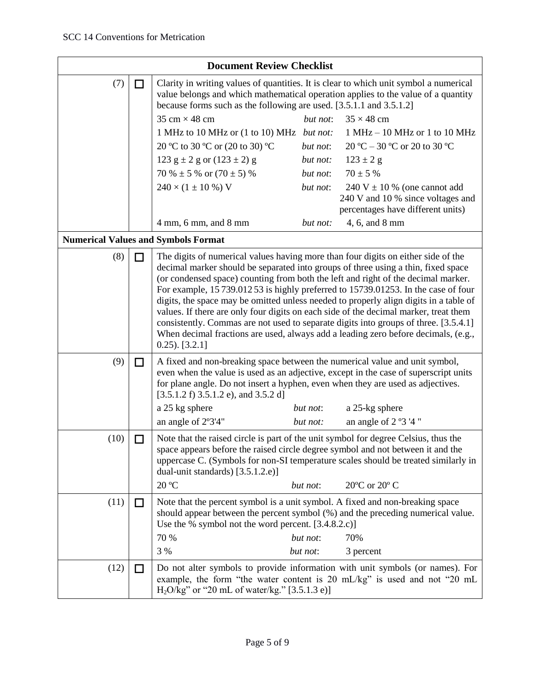| <b>Document Review Checklist</b> |        |                                                                                                                                                                                                                                                                                                                                                                                                                                                                                                                                                                                                                                                                                                                                          |                      |                                                                                                            |
|----------------------------------|--------|------------------------------------------------------------------------------------------------------------------------------------------------------------------------------------------------------------------------------------------------------------------------------------------------------------------------------------------------------------------------------------------------------------------------------------------------------------------------------------------------------------------------------------------------------------------------------------------------------------------------------------------------------------------------------------------------------------------------------------------|----------------------|------------------------------------------------------------------------------------------------------------|
| (7)                              | $\Box$ | Clarity in writing values of quantities. It is clear to which unit symbol a numerical<br>value belongs and which mathematical operation applies to the value of a quantity<br>because forms such as the following are used. [3.5.1.1 and 3.5.1.2]                                                                                                                                                                                                                                                                                                                                                                                                                                                                                        |                      |                                                                                                            |
|                                  |        | 35 cm $\times$ 48 cm                                                                                                                                                                                                                                                                                                                                                                                                                                                                                                                                                                                                                                                                                                                     | but not:             | $35 \times 48$ cm                                                                                          |
|                                  |        | 1 MHz to 10 MHz or (1 to 10) MHz but not:                                                                                                                                                                                                                                                                                                                                                                                                                                                                                                                                                                                                                                                                                                |                      | $1 MHz - 10 MHz$ or $1 to 10 MHz$                                                                          |
|                                  |        | 20 °C to 30 °C or (20 to 30) °C                                                                                                                                                                                                                                                                                                                                                                                                                                                                                                                                                                                                                                                                                                          | but not:             | 20 °C – 30 °C or 20 to 30 °C                                                                               |
|                                  |        | 123 $g \pm 2 g$ or $(123 \pm 2) g$                                                                                                                                                                                                                                                                                                                                                                                                                                                                                                                                                                                                                                                                                                       | but not:             | $123 \pm 2$ g                                                                                              |
|                                  |        | 70 % $\pm$ 5 % or (70 $\pm$ 5) %                                                                                                                                                                                                                                                                                                                                                                                                                                                                                                                                                                                                                                                                                                         | but not:             | $70 \pm 5 \%$                                                                                              |
|                                  |        | $240 \times (1 \pm 10\%) V$                                                                                                                                                                                                                                                                                                                                                                                                                                                                                                                                                                                                                                                                                                              | but not:             | $240 V \pm 10 %$ (one cannot add<br>240 V and 10 % since voltages and<br>percentages have different units) |
|                                  |        | $4 \text{ mm}$ , 6 mm, and 8 mm                                                                                                                                                                                                                                                                                                                                                                                                                                                                                                                                                                                                                                                                                                          | but not:             | 4, 6, and 8 mm                                                                                             |
|                                  |        | <b>Numerical Values and Symbols Format</b>                                                                                                                                                                                                                                                                                                                                                                                                                                                                                                                                                                                                                                                                                               |                      |                                                                                                            |
| (8)                              |        | The digits of numerical values having more than four digits on either side of the<br>decimal marker should be separated into groups of three using a thin, fixed space<br>(or condensed space) counting from both the left and right of the decimal marker.<br>For example, 15 739.012 53 is highly preferred to 15739.01253. In the case of four<br>digits, the space may be omitted unless needed to properly align digits in a table of<br>values. If there are only four digits on each side of the decimal marker, treat them<br>consistently. Commas are not used to separate digits into groups of three. [3.5.4.1]<br>When decimal fractions are used, always add a leading zero before decimals, (e.g.,<br>$(0.25)$ . $[3.2.1]$ |                      |                                                                                                            |
| (9)                              | П      | A fixed and non-breaking space between the numerical value and unit symbol,<br>even when the value is used as an adjective, except in the case of superscript units<br>for plane angle. Do not insert a hyphen, even when they are used as adjectives.<br>$[3.5.1.2 f]$ 3.5.1.2 e), and 3.5.2 d]                                                                                                                                                                                                                                                                                                                                                                                                                                         |                      |                                                                                                            |
|                                  |        | a 25 kg sphere                                                                                                                                                                                                                                                                                                                                                                                                                                                                                                                                                                                                                                                                                                                           | but not:             | a 25-kg sphere                                                                                             |
|                                  |        | an angle of 2°3'4"                                                                                                                                                                                                                                                                                                                                                                                                                                                                                                                                                                                                                                                                                                                       | but not:             | an angle of $2°3'4"$                                                                                       |
| (10)                             | ΙI     | Note that the raised circle is part of the unit symbol for degree Celsius, thus the<br>space appears before the raised circle degree symbol and not between it and the<br>uppercase C. (Symbols for non-SI temperature scales should be treated similarly in<br>dual-unit standards) [3.5.1.2.e)]<br>20 °C                                                                                                                                                                                                                                                                                                                                                                                                                               | but not:             | 20°C or 20° C                                                                                              |
|                                  |        |                                                                                                                                                                                                                                                                                                                                                                                                                                                                                                                                                                                                                                                                                                                                          |                      |                                                                                                            |
| (11)                             | LΙ     | Note that the percent symbol is a unit symbol. A fixed and non-breaking space<br>should appear between the percent symbol (%) and the preceding numerical value.<br>Use the % symbol not the word percent. [3.4.8.2.c)]<br>70 %<br>3 %                                                                                                                                                                                                                                                                                                                                                                                                                                                                                                   | but not:<br>but not: | 70%<br>3 percent                                                                                           |
| (12)                             | $\Box$ | Do not alter symbols to provide information with unit symbols (or names). For<br>example, the form "the water content is 20 mL/kg" is used and not "20 mL<br>$H_2O/kg$ " or "20 mL of water/kg." [3.5.1.3 e)]                                                                                                                                                                                                                                                                                                                                                                                                                                                                                                                            |                      |                                                                                                            |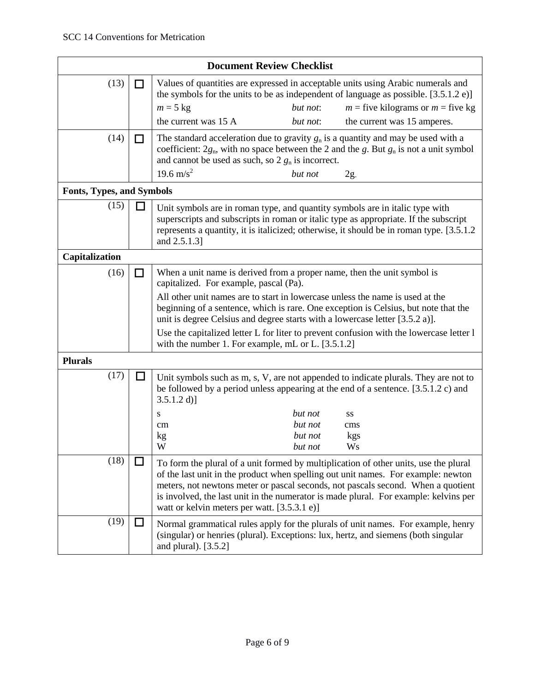| <b>Document Review Checklist</b> |     |                                                                                                                                                                                                                                                                                    |                                          |                                                                                                                                                                                                                                                                                                                                                       |
|----------------------------------|-----|------------------------------------------------------------------------------------------------------------------------------------------------------------------------------------------------------------------------------------------------------------------------------------|------------------------------------------|-------------------------------------------------------------------------------------------------------------------------------------------------------------------------------------------------------------------------------------------------------------------------------------------------------------------------------------------------------|
| (13)                             | l I |                                                                                                                                                                                                                                                                                    |                                          | Values of quantities are expressed in acceptable units using Arabic numerals and<br>the symbols for the units to be as independent of language as possible. $[3.5.1.2 e]$                                                                                                                                                                             |
|                                  |     | $m = 5$ kg                                                                                                                                                                                                                                                                         | but not:                                 | $m =$ five kilograms or $m =$ five kg                                                                                                                                                                                                                                                                                                                 |
|                                  |     | the current was 15 A                                                                                                                                                                                                                                                               | but not:                                 | the current was 15 amperes.                                                                                                                                                                                                                                                                                                                           |
| (14)                             | l I | and cannot be used as such, so $2 g_n$ is incorrect.<br>19.6 m/s <sup>2</sup>                                                                                                                                                                                                      | but not                                  | The standard acceleration due to gravity $g_n$ is a quantity and may be used with a<br>coefficient: $2g_n$ , with no space between the 2 and the g. But $g_n$ is not a unit symbol                                                                                                                                                                    |
|                                  |     |                                                                                                                                                                                                                                                                                    |                                          | 2g                                                                                                                                                                                                                                                                                                                                                    |
| <b>Fonts, Types, and Symbols</b> |     |                                                                                                                                                                                                                                                                                    |                                          |                                                                                                                                                                                                                                                                                                                                                       |
| (15)                             |     | Unit symbols are in roman type, and quantity symbols are in italic type with<br>and 2.5.1.3]                                                                                                                                                                                       |                                          | superscripts and subscripts in roman or italic type as appropriate. If the subscript<br>represents a quantity, it is italicized; otherwise, it should be in roman type. [3.5.1.2]                                                                                                                                                                     |
| Capitalization                   |     |                                                                                                                                                                                                                                                                                    |                                          |                                                                                                                                                                                                                                                                                                                                                       |
| (16)                             | П   | When a unit name is derived from a proper name, then the unit symbol is<br>capitalized. For example, pascal (Pa).<br>All other unit names are to start in lowercase unless the name is used at the<br>unit is degree Celsius and degree starts with a lowercase letter [3.5.2 a)]. |                                          | beginning of a sentence, which is rare. One exception is Celsius, but note that the<br>Use the capitalized letter L for liter to prevent confusion with the lowercase letter l                                                                                                                                                                        |
|                                  |     | with the number 1. For example, mL or L. [3.5.1.2]                                                                                                                                                                                                                                 |                                          |                                                                                                                                                                                                                                                                                                                                                       |
| <b>Plurals</b>                   |     |                                                                                                                                                                                                                                                                                    |                                          |                                                                                                                                                                                                                                                                                                                                                       |
| (17)                             | ப   | $3.5.1.2$ d)]<br>S<br>cm<br>kg<br>W                                                                                                                                                                                                                                                | but not<br>but not<br>but not<br>but not | Unit symbols such as m, s, V, are not appended to indicate plurals. They are not to<br>be followed by a period unless appearing at the end of a sentence. [3.5.1.2 c) and<br>SS<br>cms<br>kgs<br>W s                                                                                                                                                  |
| (18)                             |     |                                                                                                                                                                                                                                                                                    |                                          |                                                                                                                                                                                                                                                                                                                                                       |
|                                  |     | watt or kelvin meters per watt. [3.5.3.1 e)]                                                                                                                                                                                                                                       |                                          | To form the plural of a unit formed by multiplication of other units, use the plural<br>of the last unit in the product when spelling out unit names. For example: newton<br>meters, not newtons meter or pascal seconds, not pascals second. When a quotient<br>is involved, the last unit in the numerator is made plural. For example: kelvins per |
| (19)                             | ப   | and plural). [3.5.2]                                                                                                                                                                                                                                                               |                                          | Normal grammatical rules apply for the plurals of unit names. For example, henry<br>(singular) or henries (plural). Exceptions: lux, hertz, and siemens (both singular                                                                                                                                                                                |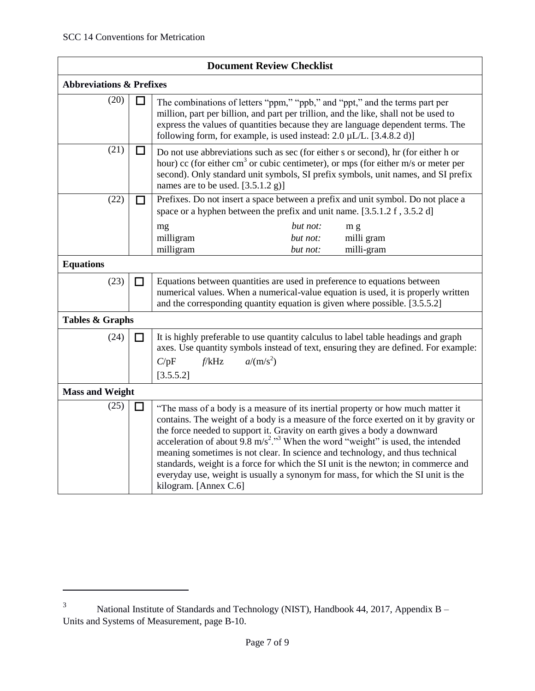$\overline{a}$ 

| <b>Document Review Checklist</b>    |   |                                                                                                                                                                                                                                                                                                                                                                                                                                                                                                                                                                                                                                                   |  |
|-------------------------------------|---|---------------------------------------------------------------------------------------------------------------------------------------------------------------------------------------------------------------------------------------------------------------------------------------------------------------------------------------------------------------------------------------------------------------------------------------------------------------------------------------------------------------------------------------------------------------------------------------------------------------------------------------------------|--|
| <b>Abbreviations &amp; Prefixes</b> |   |                                                                                                                                                                                                                                                                                                                                                                                                                                                                                                                                                                                                                                                   |  |
| (20)                                | ப | The combinations of letters "ppm," "ppb," and "ppt," and the terms part per<br>million, part per billion, and part per trillion, and the like, shall not be used to<br>express the values of quantities because they are language dependent terms. The<br>following form, for example, is used instead: $2.0 \mu L/L$ . [3.4.8.2 d)]                                                                                                                                                                                                                                                                                                              |  |
| (21)                                | ப | Do not use abbreviations such as sec (for either s or second), hr (for either h or<br>hour) cc (for either cm <sup>3</sup> or cubic centimeter), or mps (for either m/s or meter per<br>second). Only standard unit symbols, SI prefix symbols, unit names, and SI prefix<br>names are to be used. [3.5.1.2 g)]                                                                                                                                                                                                                                                                                                                                   |  |
| (22)                                |   | Prefixes. Do not insert a space between a prefix and unit symbol. Do not place a<br>space or a hyphen between the prefix and unit name. [3.5.1.2 f, 3.5.2 d]                                                                                                                                                                                                                                                                                                                                                                                                                                                                                      |  |
|                                     |   | but not:<br>mg<br>m g<br>milligram<br>milli gram<br>but not:<br>milligram<br>milli-gram<br>but not:                                                                                                                                                                                                                                                                                                                                                                                                                                                                                                                                               |  |
| <b>Equations</b>                    |   |                                                                                                                                                                                                                                                                                                                                                                                                                                                                                                                                                                                                                                                   |  |
| (23)                                | П | Equations between quantities are used in preference to equations between<br>numerical values. When a numerical-value equation is used, it is properly written<br>and the corresponding quantity equation is given where possible. [3.5.5.2]                                                                                                                                                                                                                                                                                                                                                                                                       |  |
| <b>Tables &amp; Graphs</b>          |   |                                                                                                                                                                                                                                                                                                                                                                                                                                                                                                                                                                                                                                                   |  |
| (24)                                | П | It is highly preferable to use quantity calculus to label table headings and graph<br>axes. Use quantity symbols instead of text, ensuring they are defined. For example:<br>$a/(m/s^2)$<br>f/kHz<br>C/pF<br>[3.5.5.2]                                                                                                                                                                                                                                                                                                                                                                                                                            |  |
| <b>Mass and Weight</b>              |   |                                                                                                                                                                                                                                                                                                                                                                                                                                                                                                                                                                                                                                                   |  |
| (25)                                | П | "The mass of a body is a measure of its inertial property or how much matter it<br>contains. The weight of a body is a measure of the force exerted on it by gravity or<br>the force needed to support it. Gravity on earth gives a body a downward<br>acceleration of about 9.8 m/s <sup>2</sup> ." <sup>3</sup> When the word "weight" is used, the intended<br>meaning sometimes is not clear. In science and technology, and thus technical<br>standards, weight is a force for which the SI unit is the newton; in commerce and<br>everyday use, weight is usually a synonym for mass, for which the SI unit is the<br>kilogram. [Annex C.6] |  |

<sup>&</sup>lt;sup>3</sup> National Institute of Standards and Technology (NIST), Handbook 44, 2017, Appendix B – Units and Systems of Measurement, page B-10.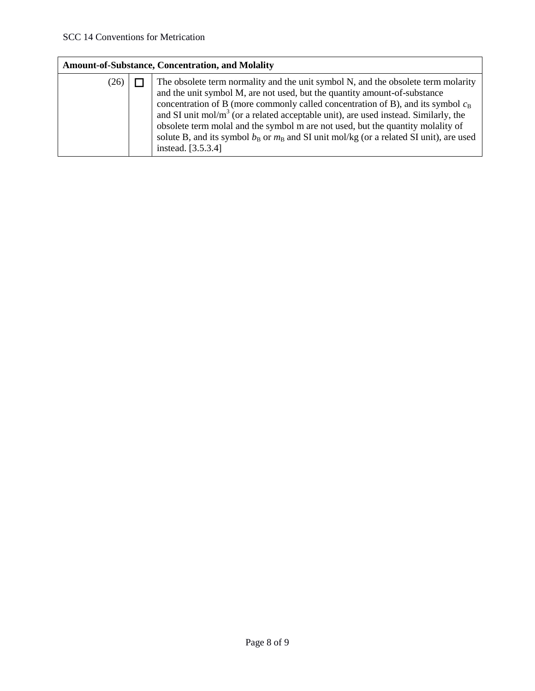| <b>Amount-of-Substance, Concentration, and Molality</b> |  |                                                                                                                                                                                                                                                                                                                                                                                                                                                                                                                                                       |  |
|---------------------------------------------------------|--|-------------------------------------------------------------------------------------------------------------------------------------------------------------------------------------------------------------------------------------------------------------------------------------------------------------------------------------------------------------------------------------------------------------------------------------------------------------------------------------------------------------------------------------------------------|--|
| (26)                                                    |  | The obsolete term normality and the unit symbol N, and the obsolete term molarity<br>and the unit symbol M, are not used, but the quantity amount-of-substance<br>concentration of B (more commonly called concentration of B), and its symbol $c_B$<br>and SI unit $mol/m3$ (or a related acceptable unit), are used instead. Similarly, the<br>obsolete term molal and the symbol m are not used, but the quantity molality of<br>solute B, and its symbol $b_B$ or $m_B$ and SI unit mol/kg (or a related SI unit), are used<br>instead. [3.5.3.4] |  |